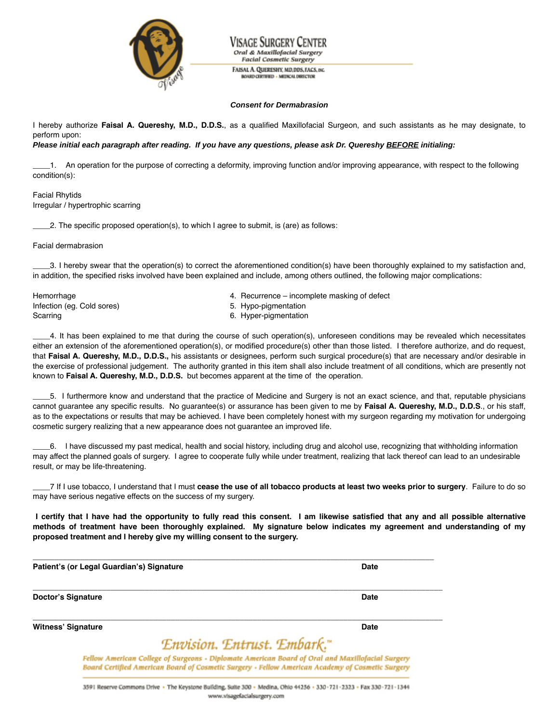

Oral & Maxillofacial Surgery **Facial Cosmetic Surgery** FAISAL A. QUERESHY, MD, DDS, FACS, INC.

**ROARD CERTIFIED - MEDICAL DIRECTOR** 

## **Consent for Dermabrasion**

I hereby authorize **Faisal A. Quereshy, M.D., D.D.S.**, as a qualified Maxillofacial Surgeon, and such assistants as he may designate, to perform upon:

## **Please initial each paragraph after reading. If you have any questions, please ask Dr. Quereshy BEFORE initialing:**

\_\_\_\_1. An operation for the purpose of correcting a deformity, improving function and/or improving appearance, with respect to the following condition(s):

## Facial Rhytids Irregular / hypertrophic scarring

\_\_\_\_2. The specific proposed operation(s), to which I agree to submit, is (are) as follows:

Facial dermabrasion

\_\_\_\_3. I hereby swear that the operation(s) to correct the aforementioned condition(s) have been thoroughly explained to my satisfaction and, in addition, the specified risks involved have been explained and include, among others outlined, the following major complications:

Infection (eg. Cold sores) 6. Hypo-pigmentation 16. Scarring 6. Hyper-pigmentation

- Hemorrhage **4. Recurrence incomplete masking of defect**  $\overline{a}$ 
	-

\_\_\_\_4. It has been explained to me that during the course of such operation(s), unforeseen conditions may be revealed which necessitates either an extension of the aforementioned operation(s), or modified procedure(s) other than those listed. I therefore authorize, and do request, that **Faisal A. Quereshy, M.D., D.D.S.,** his assistants or designees, perform such surgical procedure(s) that are necessary and/or desirable in the exercise of professional judgement. The authority granted in this item shall also include treatment of all conditions, which are presently not known to **Faisal A. Quereshy, M.D., D.D.S.** but becomes apparent at the time of the operation.

\_\_\_\_5. I furthermore know and understand that the practice of Medicine and Surgery is not an exact science, and that, reputable physicians cannot guarantee any specific results. No guarantee(s) or assurance has been given to me by **Faisal A. Quereshy, M.D., D.D.S**., or his staff, as to the expectations or results that may be achieved. I have been completely honest with my surgeon regarding my motivation for undergoing cosmetic surgery realizing that a new appearance does not guarantee an improved life.

\_\_\_\_6. I have discussed my past medical, health and social history, including drug and alcohol use, recognizing that withholding information may affect the planned goals of surgery. I agree to cooperate fully while under treatment, realizing that lack thereof can lead to an undesirable result, or may be life-threatening.

7 If I use tobacco, I understand that I must cease the use of all tobacco products at least two weeks prior to surgery. Failure to do so may have serious negative effects on the success of my surgery.

I certify that I have had the opportunity to fully read this consent. I am likewise satisfied that any and all possible alternative methods of treatment have been thoroughly explained. My signature below indicates my agreement and understanding of my **proposed treatment and I hereby give my willing consent to the surgery.**

**Patient's (or Legal Guardian's) Signature Date**

**Doctor's Signature Date**

 $\overline{a}$  , and the state of the state of the state of the state of the state of the state of the state of the state of the state of the state of the state of the state of the state of the state of the state of the state o

**Witness' Signature Date**

## Envision. Entrust. Embark."

Fellow American College of Surgeons - Diplomate American Board of Oral and Maxillofacial Surgery Board Certified American Board of Cosmetic Surgery - Fellow American Academy of Cosmetic Surgery

 $\overline{a}$  , and the state of the state of the state of the state of the state of the state of the state of the state of the state of the state of the state of the state of the state of the state of the state of the state o

 $\overline{a}$  , and the state of the state of the state of the state of the state of the state of the state of the state of the state of the state of the state of the state of the state of the state of the state of the state o

3591 Reserve Commons Drive . The Keystone Building, Suite 300 - Medina, Ohio 44256 - 330-721-2323 - Fax 330-721-1344 www.visagefacialsurgery.com